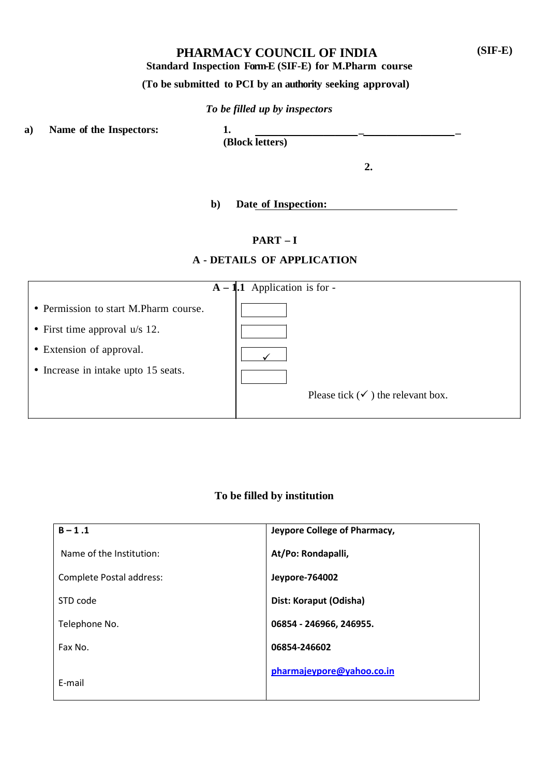## **PHARMACY COUNCIL OF INDIA**

**Standard Inspection Form-E (SIF-E) for M.Pharm course**

# **(To be submitted to PCI by an authority seeking approval)**

## *To be filled up by inspectors*

**a) Name of the Inspectors: 1. \_ \_**

**(Block letters)**

**2.**

## **b) Date of Inspection:**

# **PART – I**

## **A - DETAILS OF APPLICATION**

|                                       | $A - 1.1$ Application is for -               |
|---------------------------------------|----------------------------------------------|
| • Permission to start M.Pharm course. |                                              |
| • First time approval $u/s$ 12.       |                                              |
| • Extension of approval.              |                                              |
| • Increase in intake upto 15 seats.   |                                              |
|                                       | Please tick $(\checkmark)$ the relevant box. |
|                                       |                                              |

## **To be filled by institution**

| $B - 1.1$                | Jeypore College of Pharmacy, |
|--------------------------|------------------------------|
| Name of the Institution: | At/Po: Rondapalli,           |
| Complete Postal address: | Jeypore-764002               |
| STD code                 | Dist: Koraput (Odisha)       |
| Telephone No.            | 06854 - 246966, 246955.      |
| Fax No.                  | 06854-246602                 |
| E-mail                   | pharmajeypore@yahoo.co.in    |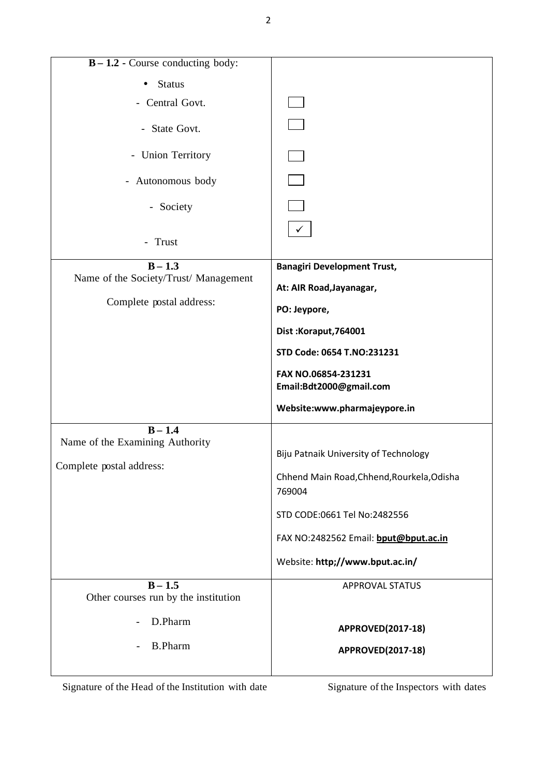| $B - 1.2$ - Course conducting body:   |                                                      |  |  |  |
|---------------------------------------|------------------------------------------------------|--|--|--|
| <b>Status</b>                         |                                                      |  |  |  |
| - Central Govt.                       |                                                      |  |  |  |
|                                       |                                                      |  |  |  |
| - State Govt.                         |                                                      |  |  |  |
| - Union Territory                     |                                                      |  |  |  |
| - Autonomous body                     |                                                      |  |  |  |
| - Society                             |                                                      |  |  |  |
|                                       | $\checkmark$                                         |  |  |  |
| - Trust                               |                                                      |  |  |  |
| $B - 1.3$                             | <b>Banagiri Development Trust,</b>                   |  |  |  |
| Name of the Society/Trust/ Management | At: AIR Road, Jayanagar,                             |  |  |  |
| Complete postal address:              | PO: Jeypore,                                         |  |  |  |
|                                       | Dist: Koraput, 764001                                |  |  |  |
|                                       | STD Code: 0654 T.NO:231231                           |  |  |  |
|                                       | FAX NO.06854-231231<br>Email:Bdt2000@gmail.com       |  |  |  |
|                                       | Website:www.pharmajeypore.in                         |  |  |  |
| $B - 1.4$                             |                                                      |  |  |  |
| Name of the Examining Authority       |                                                      |  |  |  |
| Complete postal address:              | Biju Patnaik University of Technology                |  |  |  |
|                                       | Chhend Main Road, Chhend, Rourkela, Odisha<br>769004 |  |  |  |
|                                       | STD CODE:0661 Tel No:2482556                         |  |  |  |
|                                       | FAX NO:2482562 Email: bput@bput.ac.in                |  |  |  |
|                                       | Website: http;//www.bput.ac.in/                      |  |  |  |
| $B - 1.5$                             | APPROVAL STATUS                                      |  |  |  |
| Other courses run by the institution  |                                                      |  |  |  |
| D.Pharm                               | <b>APPROVED(2017-18)</b>                             |  |  |  |
| <b>B.Pharm</b>                        |                                                      |  |  |  |
|                                       | APPROVED(2017-18)                                    |  |  |  |
|                                       |                                                      |  |  |  |

Signature of the Head of the Institution with date Signature of the Inspectors with dates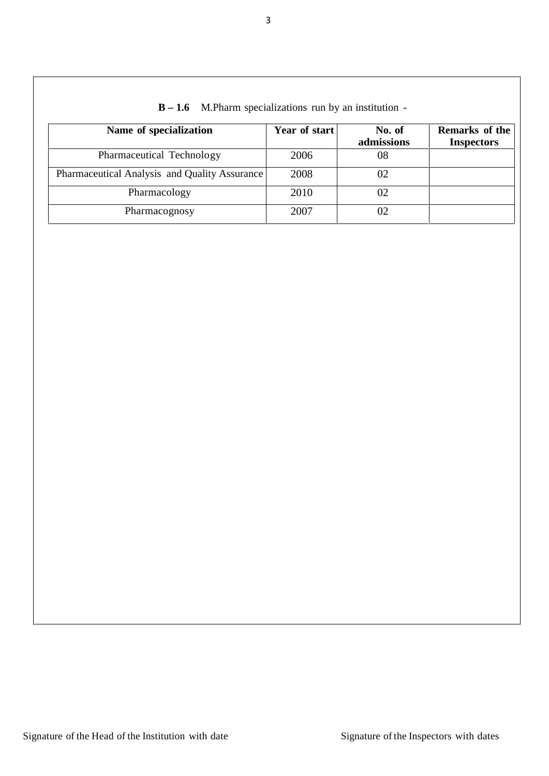| Name of specialization                        | Year of start | No. of<br>admissions | Remarks of the<br><b>Inspectors</b> |
|-----------------------------------------------|---------------|----------------------|-------------------------------------|
| Pharmaceutical Technology                     | 2006          | 08                   |                                     |
| Pharmaceutical Analysis and Quality Assurance | 2008          |                      |                                     |
| Pharmacology                                  | 2010          |                      |                                     |
| Pharmacognosy                                 | 2007          |                      |                                     |

# **B – 1.6** M.Pharm specializations run by an institution -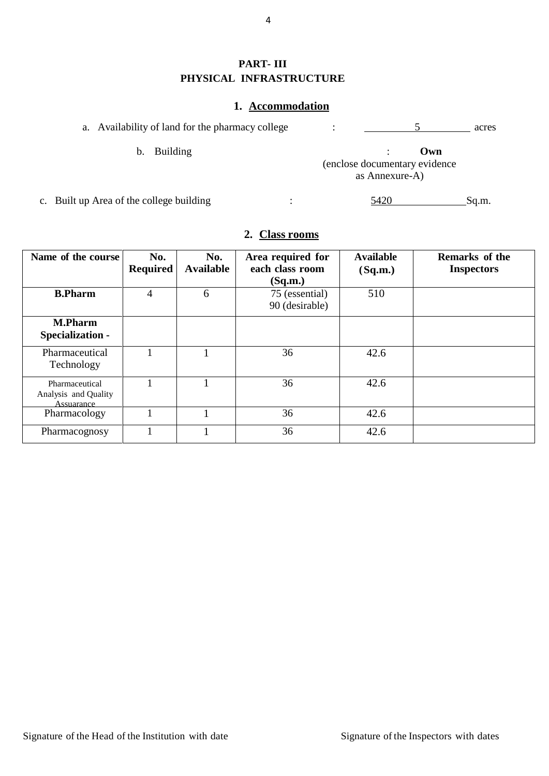# **PART- III PHYSICAL INFRASTRUCTURE**

## **1. Accommodation**

| a. Availability of land for the pharmacy college |  | acres |  |
|--------------------------------------------------|--|-------|--|
|                                                  |  |       |  |

b. Building : **Own** (enclose documentary evidence as Annexure-A)

c. Built up Area of the college building : 5420 Sq.m.

# **2. Class rooms**

| Name of the course                                   | No.<br><b>Required</b> | No.<br><b>Available</b> | Area required for<br>each class room<br>(Sq.m.) | <b>Available</b><br>(Sq.m.) | <b>Remarks of the</b><br><b>Inspectors</b> |
|------------------------------------------------------|------------------------|-------------------------|-------------------------------------------------|-----------------------------|--------------------------------------------|
| <b>B.Pharm</b>                                       | 4                      | 6                       | 75 (essential)<br>90 (desirable)                | 510                         |                                            |
| <b>M.Pharm</b><br>Specialization -                   |                        |                         |                                                 |                             |                                            |
| Pharmaceutical<br>Technology                         |                        |                         | 36                                              | 42.6                        |                                            |
| Pharmaceutical<br>Analysis and Quality<br>Assuarance |                        |                         | 36                                              | 42.6                        |                                            |
| Pharmacology                                         |                        |                         | 36                                              | 42.6                        |                                            |
| Pharmacognosy                                        |                        |                         | 36                                              | 42.6                        |                                            |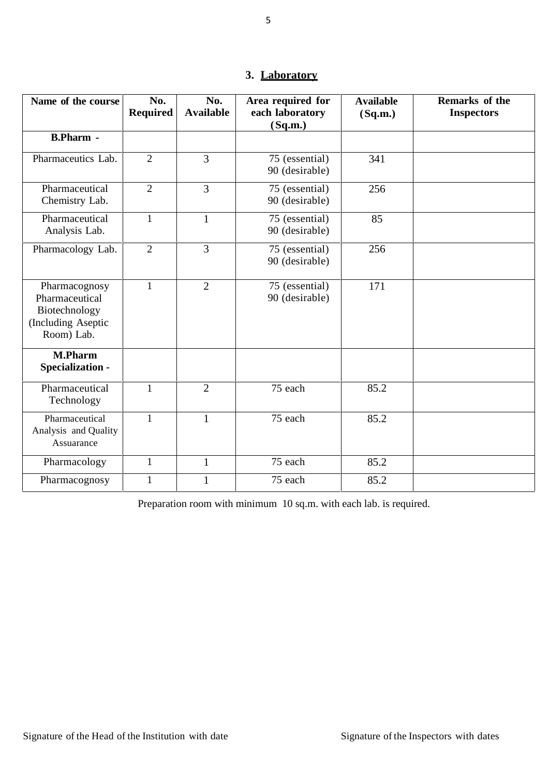|  | 3. Laboratory |  |
|--|---------------|--|
|--|---------------|--|

| Name of the course                                                                   | No.<br><b>Required</b> | No.<br><b>Available</b> | Area required for<br>each laboratory | <b>Available</b><br>(Sq.m.) | Remarks of the<br><b>Inspectors</b> |
|--------------------------------------------------------------------------------------|------------------------|-------------------------|--------------------------------------|-----------------------------|-------------------------------------|
|                                                                                      |                        |                         | (Sq.m.)                              |                             |                                     |
| <b>B.Pharm -</b>                                                                     |                        |                         |                                      |                             |                                     |
| Pharmaceutics Lab.                                                                   | $\overline{2}$         | 3                       | 75 (essential)<br>90 (desirable)     | 341                         |                                     |
| Pharmaceutical<br>Chemistry Lab.                                                     | $\overline{2}$         | 3                       | 75 (essential)<br>90 (desirable)     | 256                         |                                     |
| Pharmaceutical<br>Analysis Lab.                                                      | $\mathbf{1}$           | $\mathbf{1}$            | 75 (essential)<br>90 (desirable)     | 85                          |                                     |
| Pharmacology Lab.                                                                    | $\overline{2}$         | $\overline{3}$          | 75 (essential)<br>90 (desirable)     | 256                         |                                     |
| Pharmacognosy<br>Pharmaceutical<br>Biotechnology<br>(Including Aseptic<br>Room) Lab. | $\mathbf{1}$           | $\overline{2}$          | 75 (essential)<br>90 (desirable)     | 171                         |                                     |
| <b>M.Pharm</b><br>Specialization -                                                   |                        |                         |                                      |                             |                                     |
| Pharmaceutical<br>Technology                                                         | $\mathbf{1}$           | $\overline{2}$          | 75 each                              | 85.2                        |                                     |
| Pharmaceutical<br>Analysis and Quality<br>Assuarance                                 | $\mathbf{1}$           | $\mathbf{1}$            | 75 each                              | 85.2                        |                                     |
| Pharmacology                                                                         | $\mathbf{1}$           | $\mathbf{1}$            | 75 each                              | 85.2                        |                                     |
| Pharmacognosy                                                                        | $\mathbf{1}$           | $\mathbf{1}$            | 75 each                              | 85.2                        |                                     |

Preparation room with minimum 10 sq.m. with each lab. is required.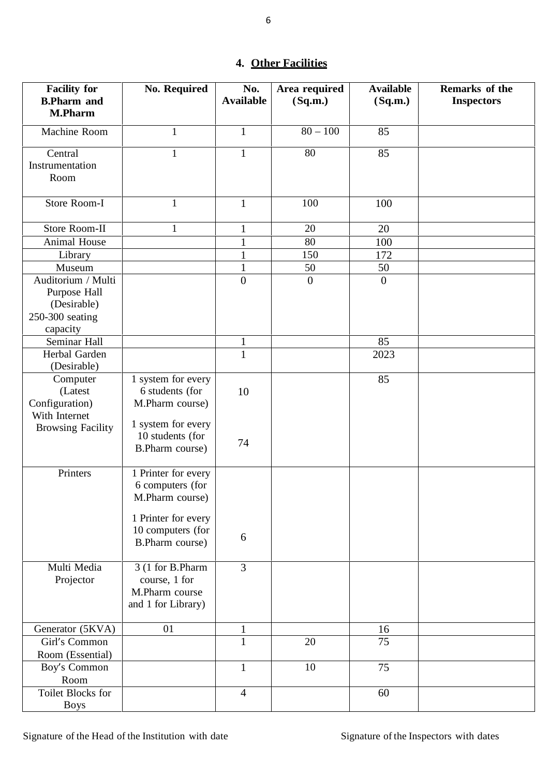# **4. Other Facilities**

| <b>Facility for</b><br><b>B.Pharm and</b> | <b>No. Required</b> | No.<br><b>Available</b>      | Area required<br>(Sq.m.) | <b>Available</b><br>(Sq.m.) | Remarks of the<br><b>Inspectors</b> |
|-------------------------------------------|---------------------|------------------------------|--------------------------|-----------------------------|-------------------------------------|
| <b>M.Pharm</b>                            |                     |                              |                          |                             |                                     |
| Machine Room                              | $\mathbf{1}$        | $\mathbf{1}$                 | $80 - 100$               | 85                          |                                     |
| Central                                   | $\mathbf{1}$        | $\mathbf{1}$                 | 80                       | 85                          |                                     |
| Instrumentation                           |                     |                              |                          |                             |                                     |
| Room                                      |                     |                              |                          |                             |                                     |
| Store Room-I                              | $\mathbf{1}$        | $\mathbf{1}$                 | 100                      | 100                         |                                     |
| Store Room-II                             | $\mathbf{1}$        |                              | 20                       |                             |                                     |
| Animal House                              |                     | $\mathbf{1}$<br>$\mathbf{1}$ | 80                       | 20<br>100                   |                                     |
| Library                                   |                     | 1                            | 150                      | 172                         |                                     |
| Museum                                    |                     | $\mathbf{1}$                 | 50                       | 50                          |                                     |
| Auditorium / Multi                        |                     | $\boldsymbol{0}$             | $\boldsymbol{0}$         | $\boldsymbol{0}$            |                                     |
| Purpose Hall                              |                     |                              |                          |                             |                                     |
| (Desirable)                               |                     |                              |                          |                             |                                     |
| 250-300 seating                           |                     |                              |                          |                             |                                     |
| capacity                                  |                     |                              |                          |                             |                                     |
| Seminar Hall                              |                     | $\mathbf{1}$                 |                          | 85                          |                                     |
| Herbal Garden                             |                     | $\mathbf{1}$                 |                          | 2023                        |                                     |
| (Desirable)                               |                     |                              |                          |                             |                                     |
| Computer                                  | 1 system for every  |                              |                          | 85                          |                                     |
| (Latest                                   | 6 students (for     | 10                           |                          |                             |                                     |
| Configuration)                            | M.Pharm course)     |                              |                          |                             |                                     |
| With Internet<br><b>Browsing Facility</b> | 1 system for every  |                              |                          |                             |                                     |
|                                           | 10 students (for    |                              |                          |                             |                                     |
|                                           | B.Pharm course)     | 74                           |                          |                             |                                     |
|                                           |                     |                              |                          |                             |                                     |
| Printers                                  | 1 Printer for every |                              |                          |                             |                                     |
|                                           | 6 computers (for    |                              |                          |                             |                                     |
|                                           | M.Pharm course)     |                              |                          |                             |                                     |
|                                           | 1 Printer for every |                              |                          |                             |                                     |
|                                           | 10 computers (for   |                              |                          |                             |                                     |
|                                           | B.Pharm course)     | 6                            |                          |                             |                                     |
|                                           |                     |                              |                          |                             |                                     |
| Multi Media                               | 3 (1 for B.Pharm    | $\overline{3}$               |                          |                             |                                     |
| Projector                                 | course, 1 for       |                              |                          |                             |                                     |
|                                           | M.Pharm course      |                              |                          |                             |                                     |
|                                           | and 1 for Library)  |                              |                          |                             |                                     |
| Generator (5KVA)                          | 01                  | $\mathbf{1}$                 |                          | 16                          |                                     |
| Girl's Common                             |                     | $\mathbf{1}$                 | 20                       | 75                          |                                     |
| Room (Essential)                          |                     |                              |                          |                             |                                     |
| Boy's Common                              |                     | $\mathbf{1}$                 | 10                       | 75                          |                                     |
| Room                                      |                     |                              |                          |                             |                                     |
| Toilet Blocks for                         |                     | $\overline{4}$               |                          | 60                          |                                     |
| <b>Boys</b>                               |                     |                              |                          |                             |                                     |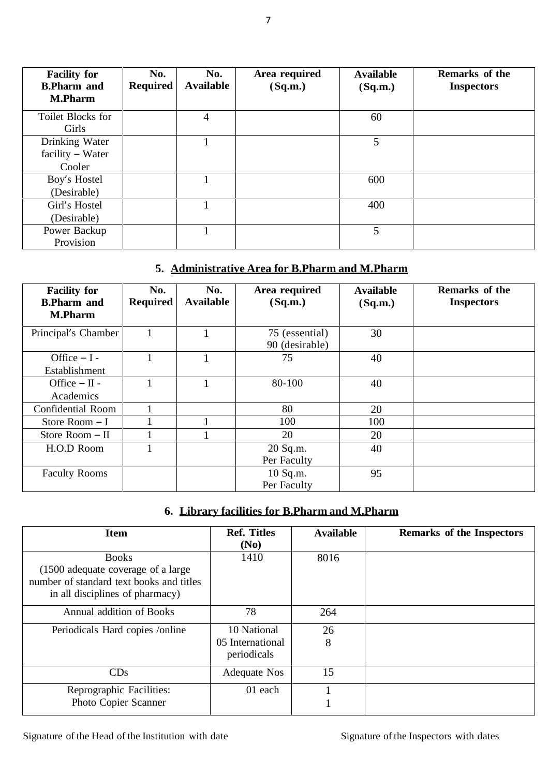| <b>Facility for</b><br><b>B.Pharm and</b><br><b>M.Pharm</b> | No.<br><b>Required</b> | No.<br><b>Available</b> | Area required<br>(Sq.m.) | <b>Available</b><br>(Sq.m.) | <b>Remarks of the</b><br><b>Inspectors</b> |
|-------------------------------------------------------------|------------------------|-------------------------|--------------------------|-----------------------------|--------------------------------------------|
| Toilet Blocks for<br>Girls                                  |                        | $\overline{4}$          |                          | 60                          |                                            |
| Drinking Water<br>$facility - Water$                        |                        |                         |                          | 5                           |                                            |
| Cooler                                                      |                        |                         |                          |                             |                                            |
| Boy's Hostel                                                |                        |                         |                          | 600                         |                                            |
| (Desirable)                                                 |                        |                         |                          |                             |                                            |
| Girl's Hostel                                               |                        |                         |                          | 400                         |                                            |
| (Desirable)                                                 |                        |                         |                          |                             |                                            |
| Power Backup<br>Provision                                   |                        |                         |                          | 5                           |                                            |

# **5. Administrative Area for B.Pharm and M.Pharm**

| <b>Facility for</b><br><b>B.Pharm and</b><br><b>M.Pharm</b> | No.<br><b>Required</b> | No.<br><b>Available</b> | Area required<br>(Sq.m.)         | <b>Available</b><br>(Sq.m.) | Remarks of the<br><b>Inspectors</b> |
|-------------------------------------------------------------|------------------------|-------------------------|----------------------------------|-----------------------------|-------------------------------------|
| Principal's Chamber                                         |                        |                         | 75 (essential)<br>90 (desirable) | 30                          |                                     |
| Office $-I -$<br>Establishment                              |                        |                         | 75                               | 40                          |                                     |
| Office $-$ II -<br>Academics                                |                        |                         | 80-100                           | 40                          |                                     |
| <b>Confidential Room</b>                                    |                        |                         | 80                               | 20                          |                                     |
| Store Room $-I$                                             |                        |                         | 100                              | 100                         |                                     |
| Store Room - II                                             |                        |                         | 20                               | 20                          |                                     |
| H.O.D Room                                                  |                        |                         | 20 Sq.m.<br>Per Faculty          | 40                          |                                     |
| <b>Faculty Rooms</b>                                        |                        |                         | 10 Sq.m.<br>Per Faculty          | 95                          |                                     |

# **6. Library facilities for B.Pharm and M.Pharm**

| <b>Item</b>                                                                                                                       | <b>Ref. Titles</b><br>(No)      | <b>Available</b> | <b>Remarks of the Inspectors</b> |
|-----------------------------------------------------------------------------------------------------------------------------------|---------------------------------|------------------|----------------------------------|
| <b>Books</b><br>(1500 adequate coverage of a large<br>number of standard text books and titles<br>in all disciplines of pharmacy) | 1410                            | 8016             |                                  |
| Annual addition of Books                                                                                                          | 78                              | 264              |                                  |
| Periodicals Hard copies /online                                                                                                   | 10 National                     | 26               |                                  |
|                                                                                                                                   | 05 International<br>periodicals | 8                |                                  |
| CDs                                                                                                                               | <b>Adequate Nos</b>             | 15               |                                  |
| Reprographic Facilities:                                                                                                          | 01 each                         |                  |                                  |
| Photo Copier Scanner                                                                                                              |                                 |                  |                                  |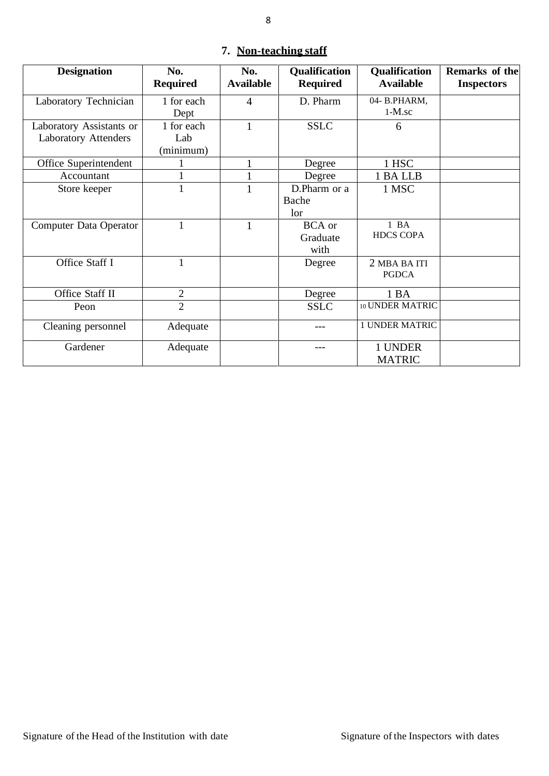| <b>Designation</b>                                      | No.<br><b>Required</b>         | No.<br><b>Available</b> | <b>Qualification</b><br><b>Required</b> | Qualification<br><b>Available</b> | Remarks of the<br><b>Inspectors</b> |
|---------------------------------------------------------|--------------------------------|-------------------------|-----------------------------------------|-----------------------------------|-------------------------------------|
| Laboratory Technician                                   | 1 for each<br>Dept             | $\overline{4}$          | D. Pharm                                | 04-B.PHARM,<br>$1-M$ .sc          |                                     |
| Laboratory Assistants or<br><b>Laboratory Attenders</b> | 1 for each<br>Lab<br>(minimum) |                         | <b>SSLC</b>                             | 6                                 |                                     |
| Office Superintendent                                   |                                |                         | Degree                                  | 1 HSC                             |                                     |
| Accountant                                              |                                |                         | Degree                                  | 1 BA LLB                          |                                     |
| Store keeper                                            | 1                              |                         | D.Pharm or a<br>Bache<br>lor            | 1 MSC                             |                                     |
| Computer Data Operator                                  | $\mathbf{1}$                   | $\mathbf{1}$            | <b>BCA</b> or<br>Graduate<br>with       | $1$ BA<br><b>HDCS COPA</b>        |                                     |
| Office Staff I                                          | $\mathbf{1}$                   |                         | Degree                                  | 2 MBA BA ITI<br><b>PGDCA</b>      |                                     |
| Office Staff II                                         | $\mathfrak{2}$                 |                         | Degree                                  | 1 BA                              |                                     |
| Peon                                                    | $\overline{2}$                 |                         | <b>SSLC</b>                             | 10 UNDER MATRIC                   |                                     |
| Cleaning personnel                                      | Adequate                       |                         |                                         | <b>1 UNDER MATRIC</b>             |                                     |
| Gardener                                                | Adequate                       |                         | ---                                     | 1 UNDER<br><b>MATRIC</b>          |                                     |

# **7. Non-teaching staff**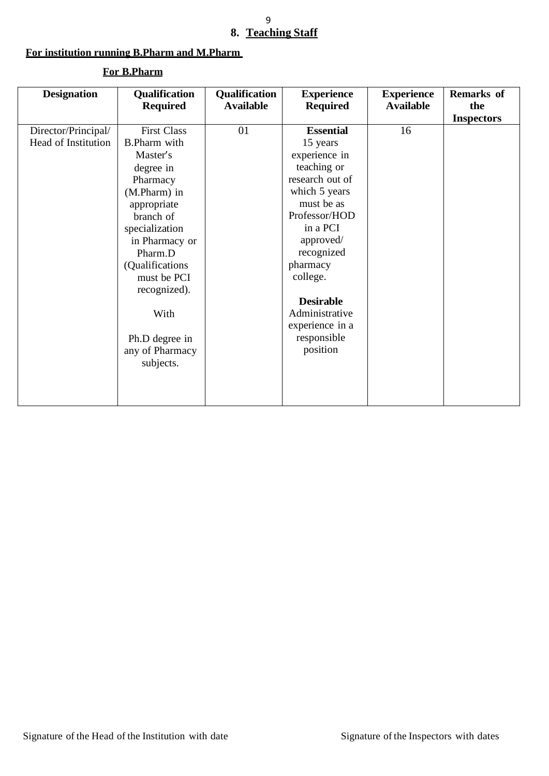#### 9 **8. Teaching Staff**

#### **For institution running B.Pharm and M.Pharm**

#### **Designation Qualification Required Qualification Available Experience Required Experience Available Remarks of the Inspectors** Director/Principal/ Head of Institution First Class B.Pharm with Master's degree in Pharmacy (M.Pharm) in appropriate branch of specialization in Pharmacy or Pharm.D (Qualifications must be PCI recognized). With Ph.D degree in any of Pharmacy subjects. 01 **Essential** 15 years experience in teaching or research out of which 5 years must be as Professor/HOD in a PCI approved/ recognized pharmacy college. **Desirable** Administrative experience in a responsible position 16

#### **For B.Pharm**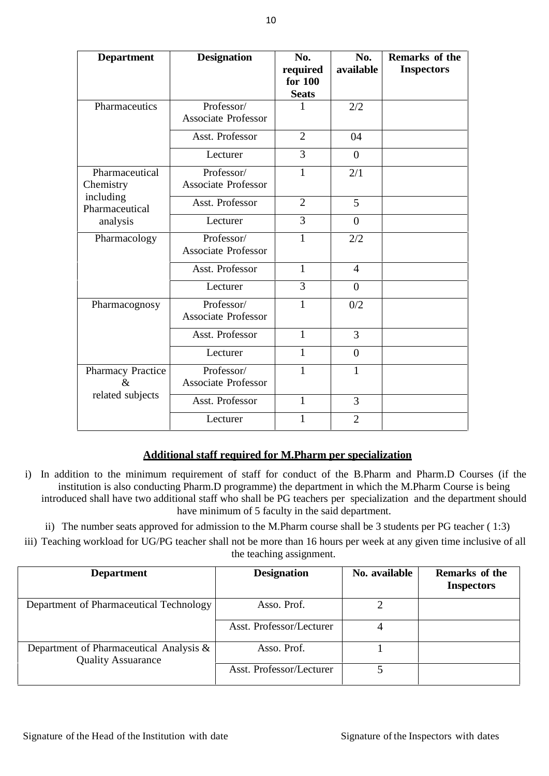| <b>Department</b>           | <b>Designation</b>                       | No.                 | No.            | Remarks of the    |
|-----------------------------|------------------------------------------|---------------------|----------------|-------------------|
|                             |                                          | required<br>for 100 | available      | <b>Inspectors</b> |
|                             |                                          | <b>Seats</b>        |                |                   |
| Pharmaceutics               | Professor/<br><b>Associate Professor</b> |                     | 2/2            |                   |
|                             | Asst. Professor                          | $\overline{2}$      | 04             |                   |
|                             | Lecturer                                 | 3                   | $\theta$       |                   |
| Pharmaceutical<br>Chemistry | Professor/<br><b>Associate Professor</b> | $\mathbf{1}$        | 2/1            |                   |
| including<br>Pharmaceutical | Asst. Professor                          | $\overline{2}$      | 5              |                   |
| analysis                    | Lecturer                                 | 3                   | $\overline{0}$ |                   |
| Pharmacology                | Professor/<br><b>Associate Professor</b> | 1                   | 2/2            |                   |
|                             | Asst. Professor                          | $\mathbf{1}$        | $\overline{4}$ |                   |
|                             | Lecturer                                 | 3                   | $\theta$       |                   |
| Pharmacognosy               | Professor/<br><b>Associate Professor</b> | $\mathbf{1}$        | 0/2            |                   |
|                             | Asst. Professor                          | 1                   | 3              |                   |
|                             | Lecturer                                 | $\mathbf{1}$        | $\mathbf{0}$   |                   |
| Pharmacy Practice<br>$\&$   | Professor/<br><b>Associate Professor</b> | 1                   | $\mathbf{1}$   |                   |
| related subjects            | Asst. Professor                          | $\mathbf{1}$        | 3              |                   |
|                             | Lecturer                                 | $\mathbf{1}$        | $\overline{2}$ |                   |

## **Additional staff required for M.Pharm per specialization**

- i) In addition to the minimum requirement of staff for conduct of the B.Pharm and Pharm.D Courses (if the institution is also conducting Pharm.D programme) the department in which the M.Pharm Course is being introduced shall have two additional staff who shall be PG teachers per specialization and the department should have minimum of 5 faculty in the said department.
	- ii) The number seats approved for admission to the M.Pharm course shall be 3 students per PG teacher ( 1:3)
- iii) Teaching workload for UG/PG teacher shall not be more than 16 hours per week at any given time inclusive of all the teaching assignment.

| <b>Department</b>                                                    | <b>Designation</b>       | No. available | Remarks of the<br><b>Inspectors</b> |
|----------------------------------------------------------------------|--------------------------|---------------|-------------------------------------|
| Department of Pharmaceutical Technology                              | Asso. Prof.              |               |                                     |
|                                                                      | Asst. Professor/Lecturer |               |                                     |
| Department of Pharmaceutical Analysis &<br><b>Quality Assuarance</b> | Asso. Prof.              |               |                                     |
|                                                                      | Asst. Professor/Lecturer |               |                                     |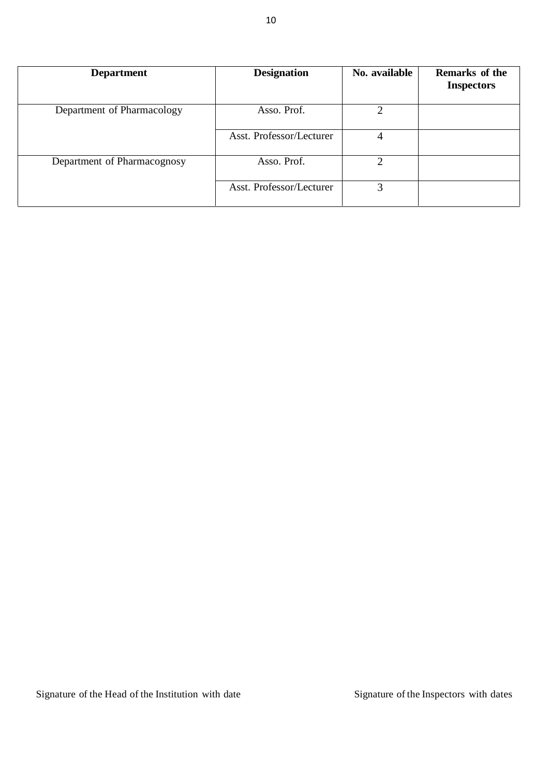| <b>Department</b>           | <b>Designation</b>       | No. available  | <b>Remarks of the</b><br><b>Inspectors</b> |
|-----------------------------|--------------------------|----------------|--------------------------------------------|
| Department of Pharmacology  | Asso. Prof.              | $\overline{2}$ |                                            |
|                             | Asst. Professor/Lecturer | 4              |                                            |
| Department of Pharmacognosy | Asso. Prof.              | 2              |                                            |
|                             | Asst. Professor/Lecturer | 3              |                                            |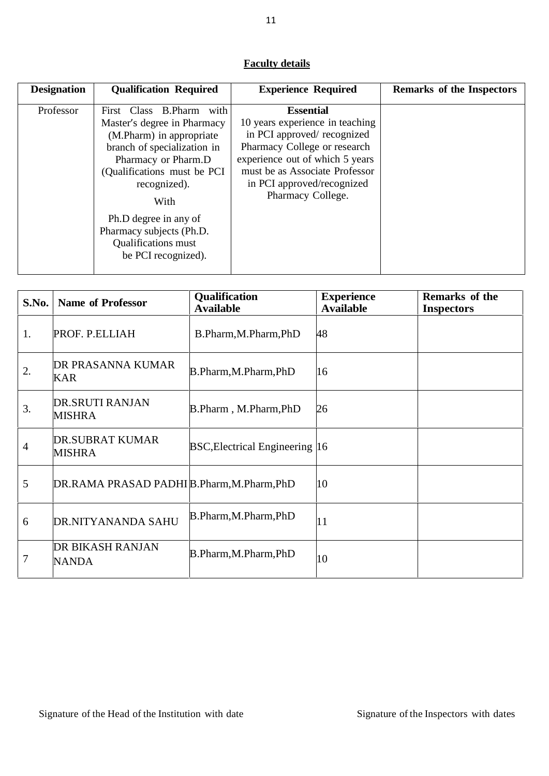# **Faculty details**

| <b>Designation</b> | <b>Qualification Required</b>                                                                                                                                                                                                                                                                                 | <b>Experience Required</b>                                                                                                                                                                                                                | Remarks of the Inspectors |
|--------------------|---------------------------------------------------------------------------------------------------------------------------------------------------------------------------------------------------------------------------------------------------------------------------------------------------------------|-------------------------------------------------------------------------------------------------------------------------------------------------------------------------------------------------------------------------------------------|---------------------------|
| Professor          | First Class B.Pharm<br>with<br>Master's degree in Pharmacy<br>(M.Pharm) in appropriate<br>branch of specialization in<br>Pharmacy or Pharm.D<br>(Qualifications must be PCI<br>recognized).<br>With<br>Ph.D degree in any of<br>Pharmacy subjects (Ph.D.<br><b>Qualifications</b> must<br>be PCI recognized). | <b>Essential</b><br>10 years experience in teaching<br>in PCI approved/recognized<br>Pharmacy College or research<br>experience out of which 5 years<br>must be as Associate Professor<br>in PCI approved/recognized<br>Pharmacy College. |                           |

| S.No.          | <b>Name of Professor</b>                  | <b>Qualification</b><br><b>Available</b> | <b>Experience</b><br><b>Available</b> | <b>Remarks of the</b><br><b>Inspectors</b> |
|----------------|-------------------------------------------|------------------------------------------|---------------------------------------|--------------------------------------------|
| 1.             | PROF. P.ELLIAH                            | B.Pharm, M.Pharm, PhD                    | 48                                    |                                            |
| 2.             | DR PRASANNA KUMAR<br><b>KAR</b>           | B.Pharm, M.Pharm, PhD                    | 16                                    |                                            |
| 3.             | DR.SRUTI RANJAN<br><b>MISHRA</b>          | B.Pharm, M.Pharm, PhD                    | 26                                    |                                            |
| $\overline{4}$ | <b>DR.SUBRAT KUMAR</b><br><b>MISHRA</b>   | <b>BSC, Electrical Engineering 16</b>    |                                       |                                            |
| 5              | DR.RAMA PRASAD PADHIB.Pharm, M.Pharm, PhD |                                          | 10                                    |                                            |
| 6              | DR.NITYANANDA SAHU                        | B.Pharm, M.Pharm, PhD                    | 11                                    |                                            |
| 7              | DR BIKASH RANJAN<br><b>NANDA</b>          | B.Pharm, M.Pharm, PhD                    | 10                                    |                                            |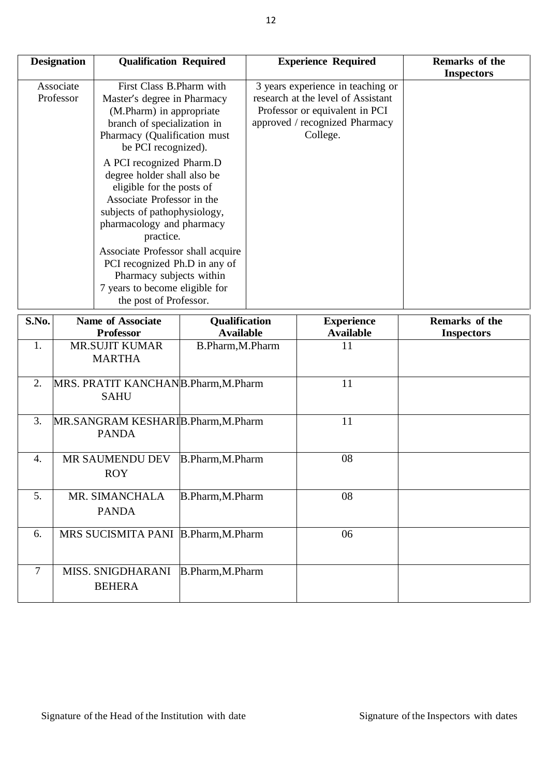| Associate<br>3 years experience in teaching or<br>First Class B. Pharm with<br>Professor<br>research at the level of Assistant<br>Master's degree in Pharmacy<br>Professor or equivalent in PCI<br>(M.Pharm) in appropriate<br>approved / recognized Pharmacy<br>branch of specialization in<br>College.<br>Pharmacy (Qualification must<br>be PCI recognized).<br>A PCI recognized Pharm.D<br>degree holder shall also be<br>eligible for the posts of<br>Associate Professor in the<br>subjects of pathophysiology,<br>pharmacology and pharmacy<br>practice.<br>Associate Professor shall acquire<br>PCI recognized Ph.D in any of<br>Pharmacy subjects within<br>7 years to become eligible for | <b>Designation</b> | <b>Qualification Required</b> | <b>Experience Required</b> | Remarks of the<br><b>Inspectors</b> |
|-----------------------------------------------------------------------------------------------------------------------------------------------------------------------------------------------------------------------------------------------------------------------------------------------------------------------------------------------------------------------------------------------------------------------------------------------------------------------------------------------------------------------------------------------------------------------------------------------------------------------------------------------------------------------------------------------------|--------------------|-------------------------------|----------------------------|-------------------------------------|
|                                                                                                                                                                                                                                                                                                                                                                                                                                                                                                                                                                                                                                                                                                     |                    |                               |                            |                                     |
|                                                                                                                                                                                                                                                                                                                                                                                                                                                                                                                                                                                                                                                                                                     |                    |                               |                            |                                     |
|                                                                                                                                                                                                                                                                                                                                                                                                                                                                                                                                                                                                                                                                                                     |                    | the post of Professor.        |                            |                                     |

| S.No. | <b>Name of Associate</b>                          | <b>Qualification</b> | <b>Experience</b> | Remarks of the    |
|-------|---------------------------------------------------|----------------------|-------------------|-------------------|
|       | <b>Professor</b>                                  | <b>Available</b>     | <b>Available</b>  | <b>Inspectors</b> |
| 1.    | <b>MR.SUJIT KUMAR</b>                             | B.Pharm, M.Pharm     | 11                |                   |
|       | <b>MARTHA</b>                                     |                      |                   |                   |
| 2.    | MRS. PRATIT KANCHANB.Pharm, M.Pharm               |                      | 11                |                   |
|       | <b>SAHU</b>                                       |                      |                   |                   |
| 3.    | MR.SANGRAM KESHARIB.Pharm,M.Pharm<br><b>PANDA</b> |                      | 11                |                   |
| 4.    | MR SAUMENDU DEV<br><b>ROY</b>                     | B.Pharm, M.Pharm     | 08                |                   |
| 5.    | MR. SIMANCHALA<br><b>PANDA</b>                    | B.Pharm, M.Pharm     | 08                |                   |
| 6.    | MRS SUCISMITA PANI B.Pharm, M.Pharm               |                      | 06                |                   |
| 7     | <b>MISS. SNIGDHARANI</b><br><b>BEHERA</b>         | B.Pharm, M.Pharm     |                   |                   |